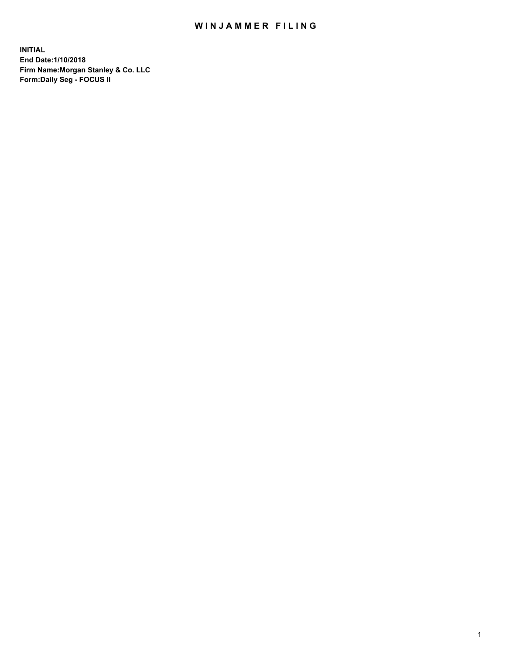## WIN JAMMER FILING

**INITIAL End Date:1/10/2018 Firm Name:Morgan Stanley & Co. LLC Form:Daily Seg - FOCUS II**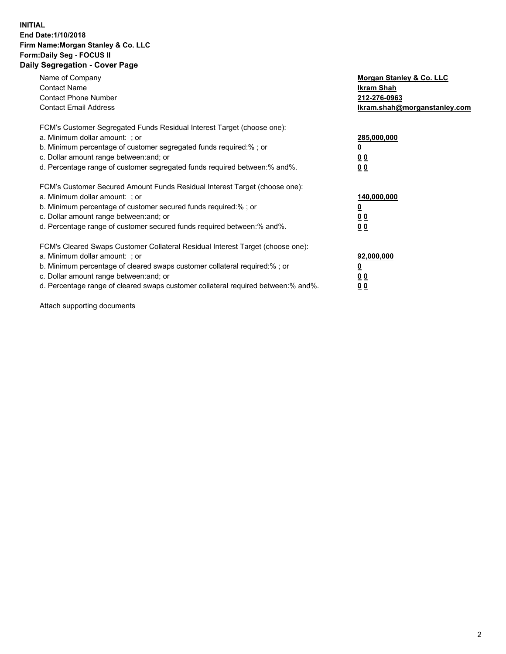#### **INITIAL End Date:1/10/2018 Firm Name:Morgan Stanley & Co. LLC Form:Daily Seg - FOCUS II Daily Segregation - Cover Page**

| Name of Company                                                                   | Morgan Stanley & Co. LLC     |
|-----------------------------------------------------------------------------------|------------------------------|
| <b>Contact Name</b>                                                               | Ikram Shah                   |
| <b>Contact Phone Number</b>                                                       | 212-276-0963                 |
| <b>Contact Email Address</b>                                                      | lkram.shah@morganstanley.com |
| FCM's Customer Segregated Funds Residual Interest Target (choose one):            |                              |
| a. Minimum dollar amount: ; or                                                    | 285,000,000                  |
| b. Minimum percentage of customer segregated funds required:%; or                 |                              |
| c. Dollar amount range between: and; or                                           | 00                           |
| d. Percentage range of customer segregated funds required between: % and %.       | 0 <sub>0</sub>               |
| FCM's Customer Secured Amount Funds Residual Interest Target (choose one):        |                              |
| a. Minimum dollar amount: ; or                                                    | 140,000,000                  |
| b. Minimum percentage of customer secured funds required:%; or                    |                              |
| c. Dollar amount range between: and; or                                           | 00                           |
| d. Percentage range of customer secured funds required between: % and %.          | 0 <sub>0</sub>               |
| FCM's Cleared Swaps Customer Collateral Residual Interest Target (choose one):    |                              |
| a. Minimum dollar amount: ; or                                                    | 92,000,000                   |
| b. Minimum percentage of cleared swaps customer collateral required:% ; or        | <u>0</u>                     |
| c. Dollar amount range between: and; or                                           | <u>00</u>                    |
| d. Percentage range of cleared swaps customer collateral required between:% and%. | 00                           |
|                                                                                   |                              |

Attach supporting documents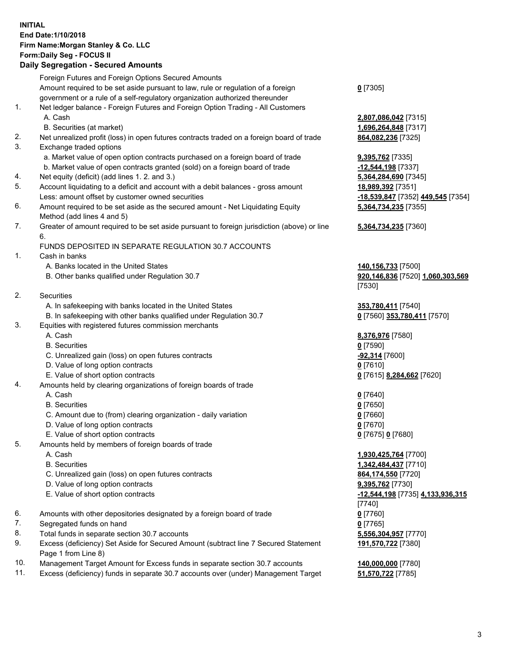## **INITIAL End Date:1/10/2018 Firm Name:Morgan Stanley & Co. LLC Form:Daily Seg - FOCUS II**

# **Daily Segregation - Secured Amounts**

|    | <b>Daily Ocglegation - Occurred Amounts</b>                                                 |                                         |
|----|---------------------------------------------------------------------------------------------|-----------------------------------------|
|    | Foreign Futures and Foreign Options Secured Amounts                                         |                                         |
|    | Amount required to be set aside pursuant to law, rule or regulation of a foreign            | $0$ [7305]                              |
|    | government or a rule of a self-regulatory organization authorized thereunder                |                                         |
| 1. | Net ledger balance - Foreign Futures and Foreign Option Trading - All Customers             |                                         |
|    | A. Cash                                                                                     | 2,807,086,042 [7315]                    |
|    | B. Securities (at market)                                                                   | 1,696,264,848 [7317]                    |
| 2. | Net unrealized profit (loss) in open futures contracts traded on a foreign board of trade   | 864,082,236 [7325]                      |
| 3. | Exchange traded options                                                                     |                                         |
|    | a. Market value of open option contracts purchased on a foreign board of trade              | <b>9,395,762</b> [7335]                 |
|    | b. Market value of open contracts granted (sold) on a foreign board of trade                | -12,544,198 [7337]                      |
| 4. | Net equity (deficit) (add lines 1. 2. and 3.)                                               | 5,364,284,690 [7345]                    |
| 5. | Account liquidating to a deficit and account with a debit balances - gross amount           | 18,989,392 [7351]                       |
|    | Less: amount offset by customer owned securities                                            | -18,539,847 [7352] 449,545 [7354]       |
| 6. | Amount required to be set aside as the secured amount - Net Liquidating Equity              | 5,364,734,235 [7355]                    |
|    | Method (add lines 4 and 5)                                                                  |                                         |
| 7. | Greater of amount required to be set aside pursuant to foreign jurisdiction (above) or line | 5,364,734,235 [7360]                    |
|    | 6.                                                                                          |                                         |
|    | FUNDS DEPOSITED IN SEPARATE REGULATION 30.7 ACCOUNTS                                        |                                         |
| 1. | Cash in banks                                                                               |                                         |
|    | A. Banks located in the United States                                                       | 140,156,733 [7500]                      |
|    | B. Other banks qualified under Regulation 30.7                                              | 920,146,836 [7520] 1,060,303,569        |
|    |                                                                                             | [7530]                                  |
| 2. | Securities                                                                                  |                                         |
|    | A. In safekeeping with banks located in the United States                                   |                                         |
|    |                                                                                             | 353,780,411 [7540]                      |
| 3. | B. In safekeeping with other banks qualified under Regulation 30.7                          | 0 [7560] 353,780,411 [7570]             |
|    | Equities with registered futures commission merchants<br>A. Cash                            |                                         |
|    | <b>B.</b> Securities                                                                        | 8,376,976 [7580]                        |
|    |                                                                                             | $0$ [7590]                              |
|    | C. Unrealized gain (loss) on open futures contracts                                         | <u>-92,314</u> [7600]                   |
|    | D. Value of long option contracts                                                           | $0$ [7610]                              |
|    | E. Value of short option contracts                                                          | 0 [7615] 8,284,662 [7620]               |
| 4. | Amounts held by clearing organizations of foreign boards of trade                           |                                         |
|    | A. Cash                                                                                     | $0$ [7640]                              |
|    | <b>B.</b> Securities                                                                        | $0$ [7650]                              |
|    | C. Amount due to (from) clearing organization - daily variation                             | $0$ [7660]                              |
|    | D. Value of long option contracts                                                           | $0$ [7670]                              |
|    | E. Value of short option contracts                                                          | 0 [7675] 0 [7680]                       |
| 5. | Amounts held by members of foreign boards of trade                                          |                                         |
|    | A. Cash                                                                                     | 1,930,425,764 [7700]                    |
|    | <b>B.</b> Securities                                                                        | 1,342,484,437 [7710]                    |
|    | C. Unrealized gain (loss) on open futures contracts                                         | 864,174,550 [7720]                      |
|    | D. Value of long option contracts                                                           | <b>9,395,762</b> [7730]                 |
|    | E. Value of short option contracts                                                          | <u>-12,544,198</u> [7735] 4,133,936,315 |
|    |                                                                                             | [7740]                                  |
| 6. | Amounts with other depositories designated by a foreign board of trade                      | $0$ [7760]                              |
| 7. | Segregated funds on hand                                                                    | $0$ [7765]                              |
| 8. | Total funds in separate section 30.7 accounts                                               | 5,556,304,957 [7770]                    |
| 9. | Excess (deficiency) Set Aside for Secured Amount (subtract line 7 Secured Statement         | 191,570,722 [7380]                      |
|    | Page 1 from Line 8)                                                                         |                                         |

- 10. Management Target Amount for Excess funds in separate section 30.7 accounts **140,000,000** [7780]
- 11. Excess (deficiency) funds in separate 30.7 accounts over (under) Management Target **51,570,722** [7785]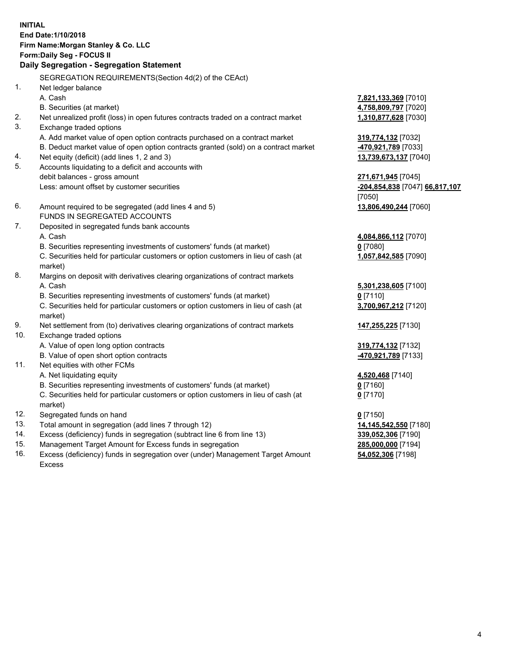## **INITIAL End Date:1/10/2018 Firm Name:Morgan Stanley & Co. LLC Form:Daily Seg - FOCUS II**

# **Daily Segregation - Segregation Statement**

SEGREGATION REQUIREMENTS(Section 4d(2) of the CEAct) 1. Net ledger balance A. Cash **7,821,133,369** [7010] B. Securities (at market) **4,758,809,797** [7020] 2. Net unrealized profit (loss) in open futures contracts traded on a contract market **1,310,877,628** [7030] 3. Exchange traded options A. Add market value of open option contracts purchased on a contract market **319,774,132** [7032] B. Deduct market value of open option contracts granted (sold) on a contract market **-470,921,789** [7033] 4. Net equity (deficit) (add lines 1, 2 and 3) **13,739,673,137** [7040] 5. Accounts liquidating to a deficit and accounts with debit balances - gross amount **271,671,945** [7045] Less: amount offset by customer securities **-204,854,838** [7047] **66,817,107** [7050] 6. Amount required to be segregated (add lines 4 and 5) **13,806,490,244** [7060] FUNDS IN SEGREGATED ACCOUNTS 7. Deposited in segregated funds bank accounts A. Cash **4,084,866,112** [7070] B. Securities representing investments of customers' funds (at market) **0** [7080] C. Securities held for particular customers or option customers in lieu of cash (at market) **1,057,842,585** [7090] 8. Margins on deposit with derivatives clearing organizations of contract markets A. Cash **5,301,238,605** [7100] B. Securities representing investments of customers' funds (at market) **0** [7110] C. Securities held for particular customers or option customers in lieu of cash (at market) **3,700,967,212** [7120] 9. Net settlement from (to) derivatives clearing organizations of contract markets **147,255,225** [7130] 10. Exchange traded options A. Value of open long option contracts **319,774,132** [7132] B. Value of open short option contracts **-470,921,789** [7133] 11. Net equities with other FCMs A. Net liquidating equity **4,520,468** [7140] B. Securities representing investments of customers' funds (at market) **0** [7160] C. Securities held for particular customers or option customers in lieu of cash (at market) **0** [7170] 12. Segregated funds on hand **0** [7150] 13. Total amount in segregation (add lines 7 through 12) **14,145,542,550** [7180] 14. Excess (deficiency) funds in segregation (subtract line 6 from line 13) **339,052,306** [7190] 15. Management Target Amount for Excess funds in segregation **285,000,000** [7194] **54,052,306** [7198]

16. Excess (deficiency) funds in segregation over (under) Management Target Amount Excess